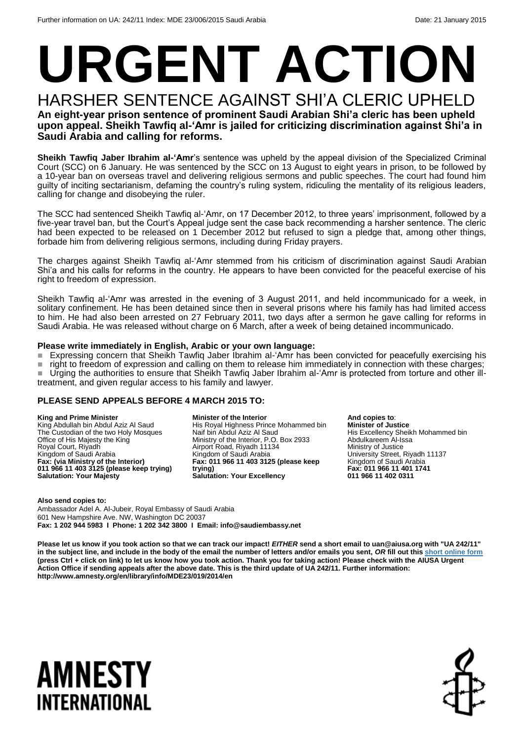# **URGENT ACTION**

#### HARSHER SENTENCE AGAINST SHI'A CLERIC UPHELD **An eight-year prison sentence of prominent Saudi Arabian Shi'a cleric has been upheld upon appeal. Sheikh Tawfiq al-'Amr is jailed for criticizing discrimination against Shi'a in Saudi Arabia and calling for reforms.**

**Sheikh Tawfiq Jaber Ibrahim al-'Amr**'s sentence was upheld by the appeal division of the Specialized Criminal Court (SCC) on 6 January. He was sentenced by the SCC on 13 August to eight years in prison, to be followed by a 10-year ban on overseas travel and delivering religious sermons and public speeches. The court had found him guilty of inciting sectarianism, defaming the country's ruling system, ridiculing the mentality of its religious leaders, calling for change and disobeying the ruler.

The SCC had sentenced Sheikh Tawfiq al-'Amr, on 17 December 2012, to three years' imprisonment, followed by a five-year travel ban, but the Court's Appeal judge sent the case back recommending a harsher sentence. The cleric had been expected to be released on 1 December 2012 but refused to sign a pledge that, among other things, forbade him from delivering religious sermons, including during Friday prayers.

The charges against Sheikh Tawfiq al-'Amr stemmed from his criticism of discrimination against Saudi Arabian Shi'a and his calls for reforms in the country. He appears to have been convicted for the peaceful exercise of his right to freedom of expression.

Sheikh Tawfiq al-'Amr was arrested in the evening of 3 August 2011, and held incommunicado for a week, in solitary confinement. He has been detained since then in several prisons where his family has had limited access to him. He had also been arrested on 27 February 2011, two days after a sermon he gave calling for reforms in Saudi Arabia. He was released without charge on 6 March, after a week of being detained incommunicado.

#### **Please write immediately in English, Arabic or your own language:**

Expressing concern that Sheikh Tawfiq Jaber Ibrahim al-'Amr has been convicted for peacefully exercising his

right to freedom of expression and calling on them to release him immediately in connection with these charges; ■ Urging the authorities to ensure that Sheikh Tawfiq Jaber Ibrahim al-'Amr is protected from torture and other illtreatment, and given regular access to his family and lawyer.

#### **PLEASE SEND APPEALS BEFORE 4 MARCH 2015 TO:**

#### **King and Prime Minister**

King Abdullah bin Abdul Aziz Al Saud The Custodian of the two Holy Mosques Office of His Majesty the King Royal Court, Riyadh Kingdom of Saudi Arabia **Fax: (via Ministry of the Interior) 011 966 11 403 3125 (please keep trying) Salutation: Your Majesty**

**Minister of the Interior** His Royal Highness Prince Mohammed bin Naif bin Abdul Aziz Al Saud Ministry of the Interior, P.O. Box 2933 Airport Road, Riyadh 11134 Kingdom of Saudi Arabia **Fax: 011 966 11 403 3125 (please keep trying) Salutation: Your Excellency**

**And copies to**: **Minister of Justice** His Excellency Sheikh Mohammed bin Abdulkareem Al-Issa Ministry of Justice University Street, Riyadh 11137 Kingdom of Saudi Arabia **Fax: 011 966 11 401 1741 011 966 11 402 0311**

**Also send copies to:** Ambassador Adel A. Al-Jubeir, Royal Embassy of Saudi Arabia 601 New Hampshire Ave. NW, Washington DC 20037 **Fax: 1 202 944 5983 I Phone: 1 202 342 3800 I Email: info@saudiembassy.net**

**Please let us know if you took action so that we can track our impact!** *EITHER* **send a short email to uan@aiusa.org with "UA 242/11" in the subject line, and include in the body of the email the number of letters and/or emails you sent,** *OR* **fill out thi[s short online form](https://www.surveymonkey.com/s/2WV8HJQ) (press Ctrl + click on link) to let us know how you took action. Thank you for taking action! Please check with the AIUSA Urgent Action Office if sending appeals after the above date. This is the third update of UA 242/11. Further information: http://www.amnesty.org/en/library/info/MDE23/019/2014/en**